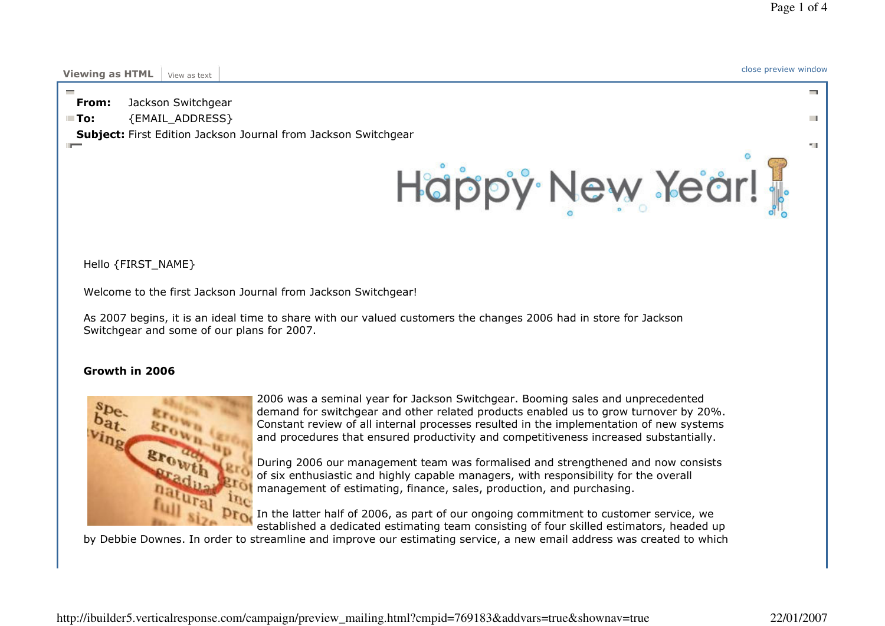$\sim$ 

 $\mathbf{r}$ 

×щ.

# Viewing as HTML View as text close preview window

From:Jackson Switchgear

 $\blacksquare$  To: {EMAIL\_ADDRESS}

Subject: First Edition Jackson Journal from Jackson Switchgear



Hello {FIRST\_NAME}

Welcome to the first Jackson Journal from Jackson Switchgear!

As 2007 begins, it is an ideal time to share with our valued customers the changes 2006 had in store for Jackson Switchgear and some of our plans for 2007.

## Growth in 2006



2006 was a seminal year for Jackson Switchgear. Booming sales and unprecedented demand for switchgear and other related products enabled us to grow turnover by 20%. Constant review of all internal processes resulted in the implementation of new systems and procedures that ensured productivity and competitiveness increased substantially.

During 2006 our management team was formalised and strengthened and now consists of six enthusiastic and highly capable managers, with responsibility for the overall management of estimating, finance, sales, production, and purchasing.

**Drow** In the latter half of 2006, as part of our ongoing commitment to customer service, we established a dedicated estimating team consisting of four skilled estimators, headed up

by Debbie Downes. In order to streamline and improve our estimating service, a new email address was created to which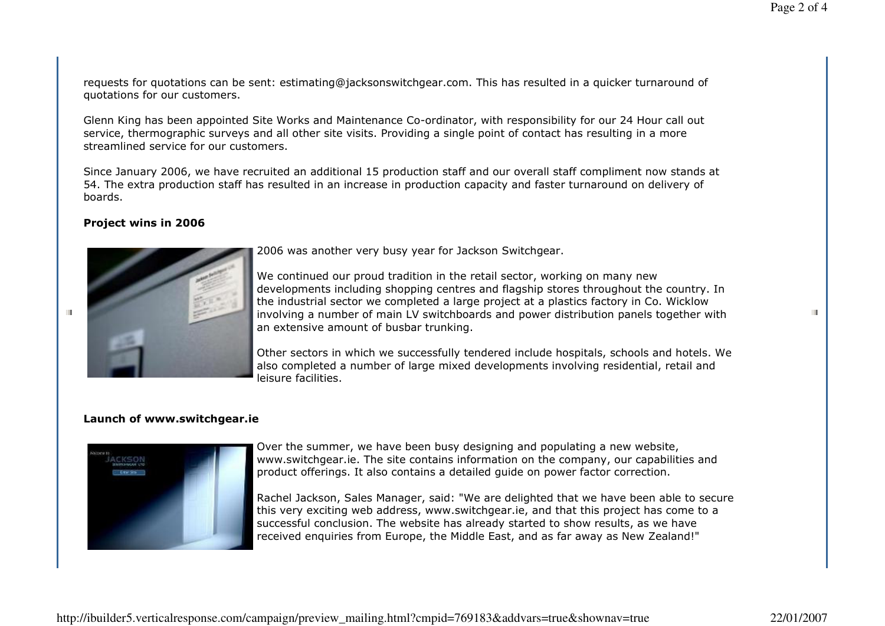H.

requests for quotations can be sent: estimating@jacksonswitchgear.com. This has resulted in a quicker turnaround of quotations for our customers.

Glenn King has been appointed Site Works and Maintenance Co-ordinator, with responsibility for our 24 Hour call out service, thermographic surveys and all other site visits. Providing a single point of contact has resulting in a more streamlined service for our customers.

Since January 2006, we have recruited an additional 15 production staff and our overall staff compliment now stands at 54. The extra production staff has resulted in an increase in production capacity and faster turnaround on delivery of boards.

### Project wins in 2006

Ш



2006 was another very busy year for Jackson Switchgear.

We continued our proud tradition in the retail sector, working on many new developments including shopping centres and flagship stores throughout the country. In the industrial sector we completed a large project at a plastics factory in Co. Wicklow involving a number of main LV switchboards and power distribution panels together with an extensive amount of busbar trunking.

Other sectors in which we successfully tendered include hospitals, schools and hotels. We also completed a number of large mixed developments involving residential, retail and leisure facilities.

#### Launch of www.switchgear.ie



Over the summer, we have been busy designing and populating a new website, www.switchgear.ie. The site contains information on the company, our capabilities and product offerings. It also contains a detailed guide on power factor correction.

Rachel Jackson, Sales Manager, said: "We are delighted that we have been able to secure this very exciting web address, www.switchgear.ie, and that this project has come to a successful conclusion. The website has already started to show results, as we have received enquiries from Europe, the Middle East, and as far away as New Zealand!"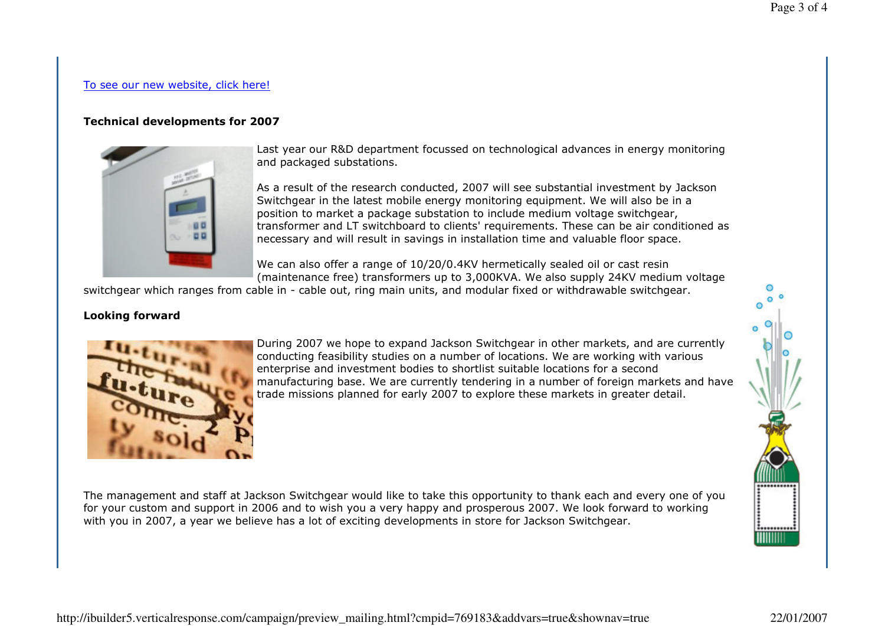## To see our new website, click here!

## Technical developments for 2007



Last year our R&D department focussed on technological advances in energy monitoring and packaged substations.

As a result of the research conducted, 2007 will see substantial investment by Jackson Switchgear in the latest mobile energy monitoring equipment. We will also be in a position to market a package substation to include medium voltage switchgear, transformer and LT switchboard to clients' requirements. These can be air conditioned as necessary and will result in savings in installation time and valuable floor space.

We can also offer a range of 10/20/0.4KV hermetically sealed oil or cast resin (maintenance free) transformers up to 3,000KVA. We also supply 24KV medium voltage

switchgear which ranges from cable in - cable out, ring main units, and modular fixed or withdrawable switchgear.

## Looking forward



During 2007 we hope to expand Jackson Switchgear in other markets, and are currently conducting feasibility studies on a number of locations. We are working with various enterprise and investment bodies to shortlist suitable locations for a second manufacturing base. We are currently tendering in a number of foreign markets and have trade missions planned for early 2007 to explore these markets in greater detail.

The management and staff at Jackson Switchgear would like to take this opportunity to thank each and every one of you for your custom and support in 2006 and to wish you a very happy and prosperous 2007. We look forward to working with you in 2007, a year we believe has a lot of exciting developments in store for Jackson Switchgear.

:.......... HHHHH